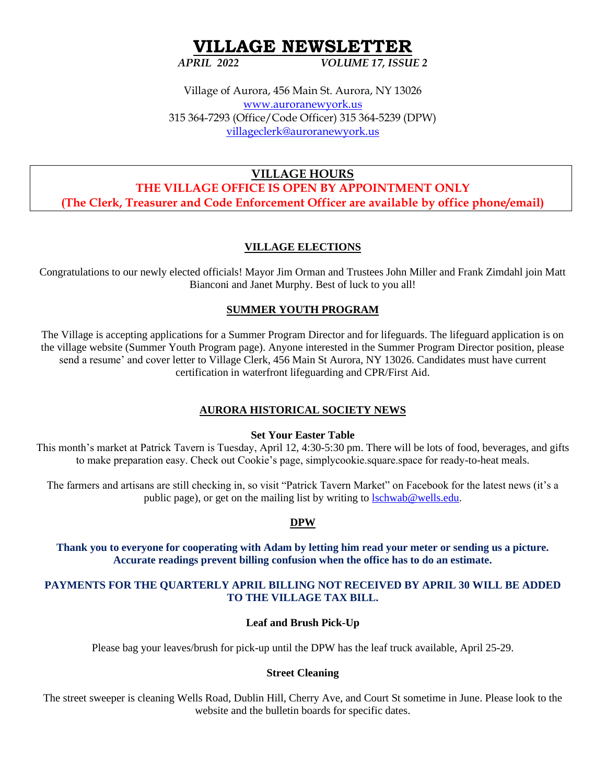# **VILLAGE NEWSLETTER**

*APRIL 2022 VOLUME 17, ISSUE 2*

Village of Aurora, 456 Main St. Aurora, NY 13026 [www.auroranewyork.us](http://www.auroranewyork.us/) 315 364-7293 (Office/Code Officer) 315 364-5239 (DPW) [villageclerk@auroranewyork.us](mailto:villageclerk@auroranewyork.us)

**VILLAGE HOURS THE VILLAGE OFFICE IS OPEN BY APPOINTMENT ONLY (The Clerk, Treasurer and Code Enforcement Officer are available by office phone/email)**

# **VILLAGE ELECTIONS**

Congratulations to our newly elected officials! Mayor Jim Orman and Trustees John Miller and Frank Zimdahl join Matt Bianconi and Janet Murphy. Best of luck to you all!

# **SUMMER YOUTH PROGRAM**

The Village is accepting applications for a Summer Program Director and for lifeguards. The lifeguard application is on the village website (Summer Youth Program page). Anyone interested in the Summer Program Director position, please send a resume' and cover letter to Village Clerk, 456 Main St Aurora, NY 13026. Candidates must have current certification in waterfront lifeguarding and CPR/First Aid.

# **AURORA HISTORICAL SOCIETY NEWS**

#### **Set Your Easter Table**

This month's market at Patrick Tavern is Tuesday, April 12, 4:30-5:30 pm. There will be lots of food, beverages, and gifts to make preparation easy. Check out Cookie's page, simplycookie.square.space for ready-to-heat meals.

The farmers and artisans are still checking in, so visit "Patrick Tavern Market" on Facebook for the latest news (it's a public page), or get on the mailing list by writing to [lschwab@wells.edu.](mailto:lschwab@wells.edu)

# **DPW**

**Thank you to everyone for cooperating with Adam by letting him read your meter or sending us a picture. Accurate readings prevent billing confusion when the office has to do an estimate.** 

#### **PAYMENTS FOR THE QUARTERLY APRIL BILLING NOT RECEIVED BY APRIL 30 WILL BE ADDED TO THE VILLAGE TAX BILL.**

#### **Leaf and Brush Pick-Up**

Please bag your leaves/brush for pick-up until the DPW has the leaf truck available, April 25-29.

#### **Street Cleaning**

The street sweeper is cleaning Wells Road, Dublin Hill, Cherry Ave, and Court St sometime in June. Please look to the website and the bulletin boards for specific dates.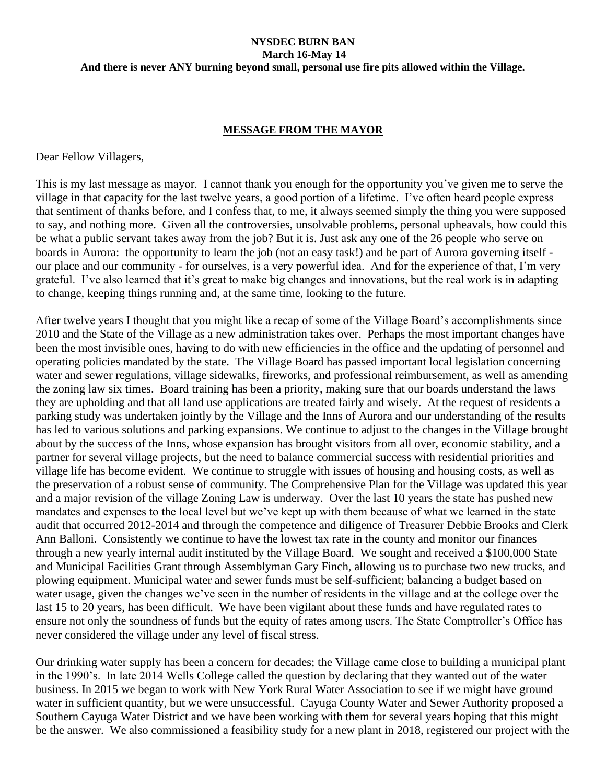#### **NYSDEC BURN BAN March 16-May 14 And there is never ANY burning beyond small, personal use fire pits allowed within the Village.**

#### **MESSAGE FROM THE MAYOR**

Dear Fellow Villagers,

This is my last message as mayor. I cannot thank you enough for the opportunity you've given me to serve the village in that capacity for the last twelve years, a good portion of a lifetime. I've often heard people express that sentiment of thanks before, and I confess that, to me, it always seemed simply the thing you were supposed to say, and nothing more. Given all the controversies, unsolvable problems, personal upheavals, how could this be what a public servant takes away from the job? But it is. Just ask any one of the 26 people who serve on boards in Aurora: the opportunity to learn the job (not an easy task!) and be part of Aurora governing itself our place and our community - for ourselves, is a very powerful idea. And for the experience of that, I'm very grateful. I've also learned that it's great to make big changes and innovations, but the real work is in adapting to change, keeping things running and, at the same time, looking to the future.

After twelve years I thought that you might like a recap of some of the Village Board's accomplishments since 2010 and the State of the Village as a new administration takes over. Perhaps the most important changes have been the most invisible ones, having to do with new efficiencies in the office and the updating of personnel and operating policies mandated by the state. The Village Board has passed important local legislation concerning water and sewer regulations, village sidewalks, fireworks, and professional reimbursement, as well as amending the zoning law six times. Board training has been a priority, making sure that our boards understand the laws they are upholding and that all land use applications are treated fairly and wisely. At the request of residents a parking study was undertaken jointly by the Village and the Inns of Aurora and our understanding of the results has led to various solutions and parking expansions. We continue to adjust to the changes in the Village brought about by the success of the Inns, whose expansion has brought visitors from all over, economic stability, and a partner for several village projects, but the need to balance commercial success with residential priorities and village life has become evident. We continue to struggle with issues of housing and housing costs, as well as the preservation of a robust sense of community. The Comprehensive Plan for the Village was updated this year and a major revision of the village Zoning Law is underway. Over the last 10 years the state has pushed new mandates and expenses to the local level but we've kept up with them because of what we learned in the state audit that occurred 2012-2014 and through the competence and diligence of Treasurer Debbie Brooks and Clerk Ann Balloni. Consistently we continue to have the lowest tax rate in the county and monitor our finances through a new yearly internal audit instituted by the Village Board. We sought and received a \$100,000 State and Municipal Facilities Grant through Assemblyman Gary Finch, allowing us to purchase two new trucks, and plowing equipment. Municipal water and sewer funds must be self-sufficient; balancing a budget based on water usage, given the changes we've seen in the number of residents in the village and at the college over the last 15 to 20 years, has been difficult. We have been vigilant about these funds and have regulated rates to ensure not only the soundness of funds but the equity of rates among users. The State Comptroller's Office has never considered the village under any level of fiscal stress.

Our drinking water supply has been a concern for decades; the Village came close to building a municipal plant in the 1990's. In late 2014 Wells College called the question by declaring that they wanted out of the water business. In 2015 we began to work with New York Rural Water Association to see if we might have ground water in sufficient quantity, but we were unsuccessful. Cayuga County Water and Sewer Authority proposed a Southern Cayuga Water District and we have been working with them for several years hoping that this might be the answer. We also commissioned a feasibility study for a new plant in 2018, registered our project with the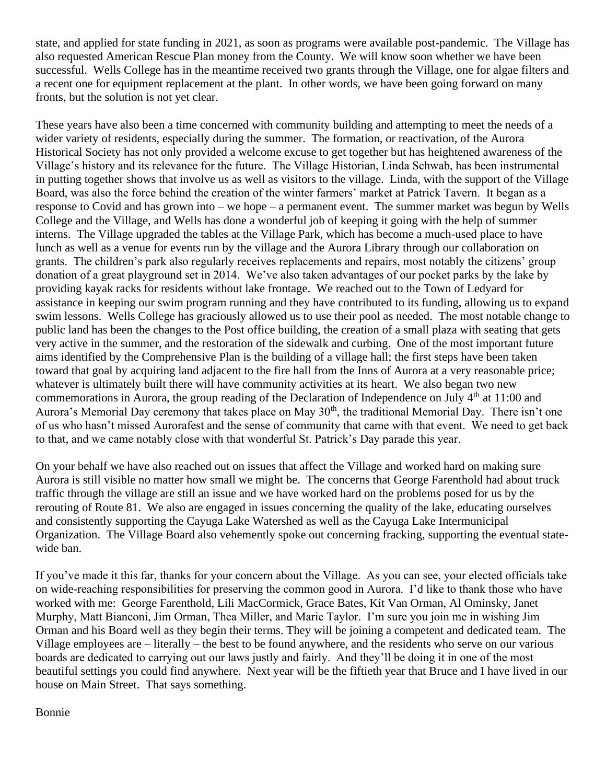state, and applied for state funding in 2021, as soon as programs were available post-pandemic. The Village has also requested American Rescue Plan money from the County. We will know soon whether we have been successful. Wells College has in the meantime received two grants through the Village, one for algae filters and a recent one for equipment replacement at the plant. In other words, we have been going forward on many fronts, but the solution is not yet clear.

These years have also been a time concerned with community building and attempting to meet the needs of a wider variety of residents, especially during the summer. The formation, or reactivation, of the Aurora Historical Society has not only provided a welcome excuse to get together but has heightened awareness of the Village's history and its relevance for the future. The Village Historian, Linda Schwab, has been instrumental in putting together shows that involve us as well as visitors to the village. Linda, with the support of the Village Board, was also the force behind the creation of the winter farmers' market at Patrick Tavern. It began as a response to Covid and has grown into – we hope – a permanent event. The summer market was begun by Wells College and the Village, and Wells has done a wonderful job of keeping it going with the help of summer interns. The Village upgraded the tables at the Village Park, which has become a much-used place to have lunch as well as a venue for events run by the village and the Aurora Library through our collaboration on grants. The children's park also regularly receives replacements and repairs, most notably the citizens' group donation of a great playground set in 2014. We've also taken advantages of our pocket parks by the lake by providing kayak racks for residents without lake frontage. We reached out to the Town of Ledyard for assistance in keeping our swim program running and they have contributed to its funding, allowing us to expand swim lessons. Wells College has graciously allowed us to use their pool as needed. The most notable change to public land has been the changes to the Post office building, the creation of a small plaza with seating that gets very active in the summer, and the restoration of the sidewalk and curbing. One of the most important future aims identified by the Comprehensive Plan is the building of a village hall; the first steps have been taken toward that goal by acquiring land adjacent to the fire hall from the Inns of Aurora at a very reasonable price; whatever is ultimately built there will have community activities at its heart. We also began two new commemorations in Aurora, the group reading of the Declaration of Independence on July 4<sup>th</sup> at 11:00 and Aurora's Memorial Day ceremony that takes place on May 30<sup>th</sup>, the traditional Memorial Day. There isn't one of us who hasn't missed Aurorafest and the sense of community that came with that event. We need to get back to that, and we came notably close with that wonderful St. Patrick's Day parade this year.

On your behalf we have also reached out on issues that affect the Village and worked hard on making sure Aurora is still visible no matter how small we might be. The concerns that George Farenthold had about truck traffic through the village are still an issue and we have worked hard on the problems posed for us by the rerouting of Route 81. We also are engaged in issues concerning the quality of the lake, educating ourselves and consistently supporting the Cayuga Lake Watershed as well as the Cayuga Lake Intermunicipal Organization. The Village Board also vehemently spoke out concerning fracking, supporting the eventual statewide ban.

If you've made it this far, thanks for your concern about the Village. As you can see, your elected officials take on wide-reaching responsibilities for preserving the common good in Aurora. I'd like to thank those who have worked with me: George Farenthold, Lili MacCormick, Grace Bates, Kit Van Orman, Al Ominsky, Janet Murphy, Matt Bianconi, Jim Orman, Thea Miller, and Marie Taylor. I'm sure you join me in wishing Jim Orman and his Board well as they begin their terms. They will be joining a competent and dedicated team. The Village employees are – literally – the best to be found anywhere, and the residents who serve on our various boards are dedicated to carrying out our laws justly and fairly. And they'll be doing it in one of the most beautiful settings you could find anywhere. Next year will be the fiftieth year that Bruce and I have lived in our house on Main Street. That says something.

# Bonnie